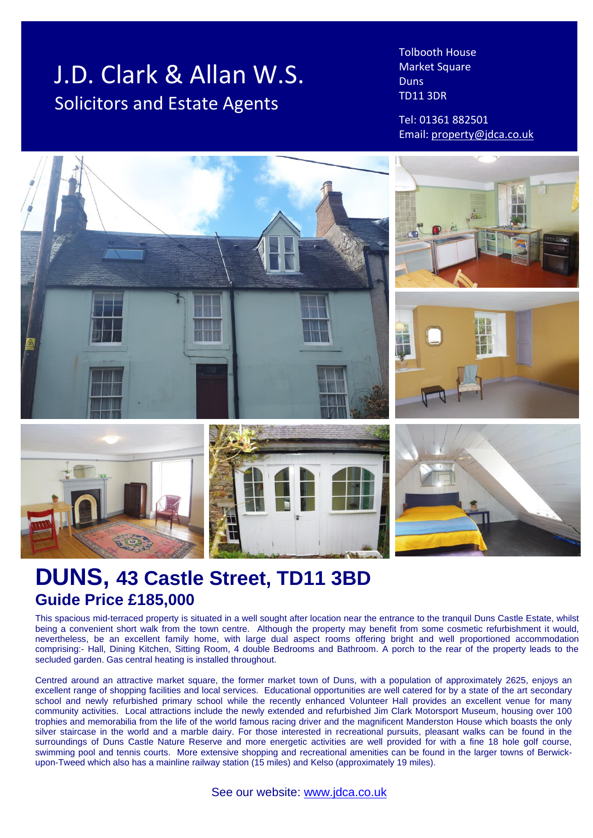# J.D. Clark & Allan W.S. Solicitors and Estate Agents

Tolbooth House Market Square Duns TD11 3DR

Tel: 01361 882501 Email: [property@jdca.co.uk](mailto:property@jdca.co.uk)



# **DUNS, 43 Castle Street, TD11 3BD Guide Price £185,000**

This spacious mid-terraced property is situated in a well sought after location near the entrance to the tranquil Duns Castle Estate, whilst being a convenient short walk from the town centre. Although the property may benefit from some cosmetic refurbishment it would, nevertheless, be an excellent family home, with large dual aspect rooms offering bright and well proportioned accommodation comprising:- Hall, Dining Kitchen, Sitting Room, 4 double Bedrooms and Bathroom. A porch to the rear of the property leads to the secluded garden. Gas central heating is installed throughout.

Centred around an attractive market square, the former market town of Duns, with a population of approximately 2625, enjoys an excellent range of shopping facilities and local services. Educational opportunities are well catered for by a state of the art secondary school and newly refurbished primary school while the recently enhanced Volunteer Hall provides an excellent venue for many community activities. Local attractions include the newly extended and refurbished Jim Clark Motorsport Museum, housing over 100 trophies and memorabilia from the life of the world famous racing driver and the magnificent Manderston House which boasts the only silver staircase in the world and a marble dairy. For those interested in recreational pursuits, pleasant walks can be found in the surroundings of Duns Castle Nature Reserve and more energetic activities are well provided for with a fine 18 hole golf course, swimming pool and tennis courts. More extensive shopping and recreational amenities can be found in the larger towns of Berwickupon-Tweed which also has a mainline railway station (15 miles) and Kelso (approximately 19 miles).

See our website: [www.jdca.co.uk](http://www.jdca.co.uk/)